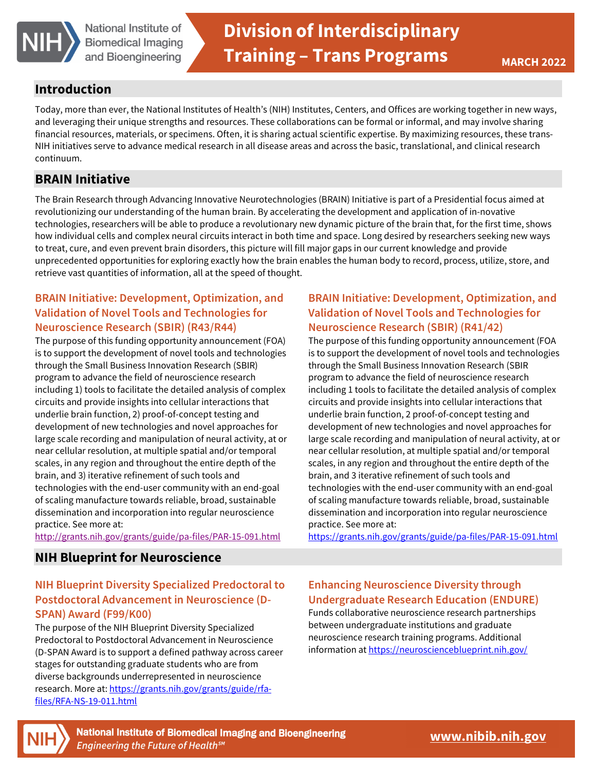

## **Introduction**

Today, more than ever, the National Institutes of Health's (NIH) Institutes, Centers, and Offices are working together in new ways, and leveraging their unique strengths and resources. These collaborations can be formal or informal, and may involve sharing financial resources, materials, or specimens. Often, it is sharing actual scientific expertise. By maximizing resources, these trans-NIH initiatives serve to advance medical research in all disease areas and across the basic, translational, and clinical research continuum.

## **BRAIN Initiative**

The Brain Research through Advancing Innovative Neurotechnologies (BRAIN) Initiative is part of a Presidential focus aimed at revolutionizing our understanding of the human brain. By accelerating the development and application of in-novative technologies, researchers will be able to produce a revolutionary new dynamic picture of the brain that, for the first time, shows how individual cells and complex neural circuits interact in both time and space. Long desired by researchers seeking new ways to treat, cure, and even prevent brain disorders, this picture will fill major gaps in our current knowledge and provide unprecedented opportunities for exploring exactly how the brain enables the human body to record, process, utilize, store, and retrieve vast quantities of information, all at the speed of thought.

## **BRAIN Initiative: Development, Optimization, and Validation of Novel Tools and Technologies for Neuroscience Research (SBIR) (R43/R44)**

The purpose of this funding opportunity announcement (FOA) is to support the development of novel tools and technologies through the Small Business Innovation Research (SBIR) program to advance the field of neuroscience research including 1) tools to facilitate the detailed analysis of complex circuits and provide insights into cellular interactions that underlie brain function, 2) proof-of-concept testing and development of new technologies and novel approaches for large scale recording and manipulation of neural activity, at or near cellular resolution, at multiple spatial and/or temporal scales, in any region and throughout the entire depth of the brain, and 3) iterative refinement of such tools and technologies with the end-user community with an end-goal of scaling manufacture towards reliable, broad, sustainable dissemination and incorporation into regular neuroscience practice. See more at:

<http://grants.nih.gov/grants/guide/pa-files/PAR-15-091.html>

### **NIH Blueprint for Neuroscience**

# **NIH Blueprint Diversity Specialized Predoctoral to Postdoctoral Advancement in Neuroscience (D-SPAN) Award (F99/K00)**

The purpose of the NIH Blueprint Diversity Specialized Predoctoral to Postdoctoral Advancement in Neuroscience (D-SPAN Award is to support a defined pathway across career stages for outstanding graduate students who are from diverse backgrounds underrepresented in neuroscience research. More at[: https://grants.nih.gov/grants/guide/rfa](https://grants.nih.gov/grants/guide/rfa-files/RFA-NS-19-011.html)[files/RFA-NS-19-011.html](https://grants.nih.gov/grants/guide/rfa-files/RFA-NS-19-011.html) 

# **BRAIN Initiative: Development, Optimization, and Validation of Novel Tools and Technologies for Neuroscience Research (SBIR) (R41/42)**

The purpose of this funding opportunity announcement (FOA is to support the development of novel tools and technologies through the Small Business Innovation Research (SBIR program to advance the field of neuroscience research including 1 tools to facilitate the detailed analysis of complex circuits and provide insights into cellular interactions that underlie brain function, 2 proof-of-concept testing and development of new technologies and novel approaches for large scale recording and manipulation of neural activity, at or near cellular resolution, at multiple spatial and/or temporal scales, in any region and throughout the entire depth of the brain, and 3 iterative refinement of such tools and technologies with the end-user community with an end-goal of scaling manufacture towards reliable, broad, sustainable dissemination and incorporation into regular neuroscience practice. See more at:

<https://grants.nih.gov/grants/guide/pa-files/PAR-15-091.html>

### **Enhancing Neuroscience Diversity through Undergraduate Research Education (ENDURE)**

Funds collaborative neuroscience research partnerships between undergraduate institutions and graduate neuroscience research training programs. Additional information at<https://neuroscienceblueprint.nih.gov/>